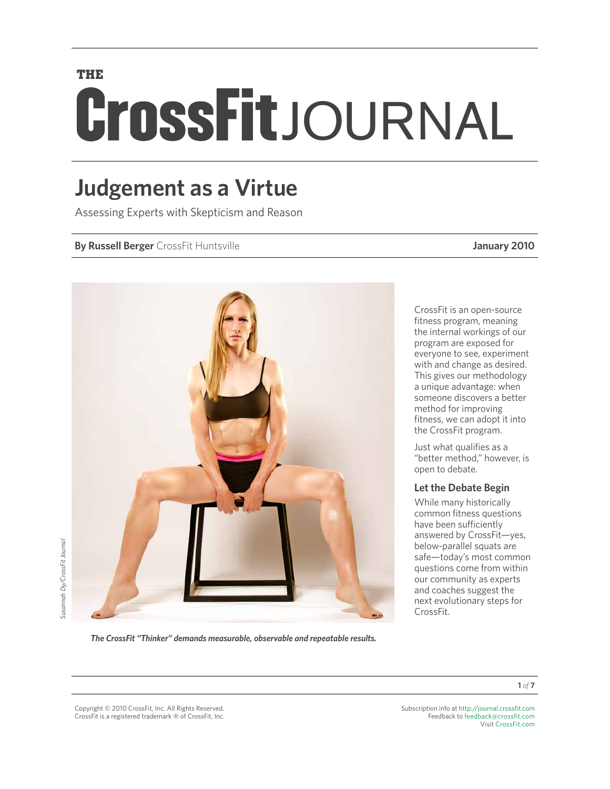# **THE** CrossFitJOURNAL

### **Judgement as a Virtue**

Assessing Experts with Skepticism and Reason

#### **By Russell Berger** CrossFit Huntsville **January 2010**



CrossFit is an open-source fitness program, meaning the internal workings of our program are exposed for everyone to see, experiment with and change as desired. This gives our methodology a unique advantage: when someone discovers a better method for improving fitness, we can adopt it into the CrossFit program.

Just what qualifies as a "better method," however, is open to debate.

#### **Let the Debate Begin**

While many historically common fitness questions have been sufficiently answered by CrossFit—yes, below-parallel squats are safe—today's most common questions come from within our community as experts and coaches suggest the next evolutionary steps for CrossFit.

Susannah Dy/CrossFit Journal *Susannah Dy/CrossFit Journal*

*The CrossFit "Thinker" demands measurable, observable and repeatable results.*

**1** *of* **7**

Copyright © 2010 CrossFit, Inc. All Rights Reserved. CrossFit is a registered trademark ‰ of CrossFit, Inc.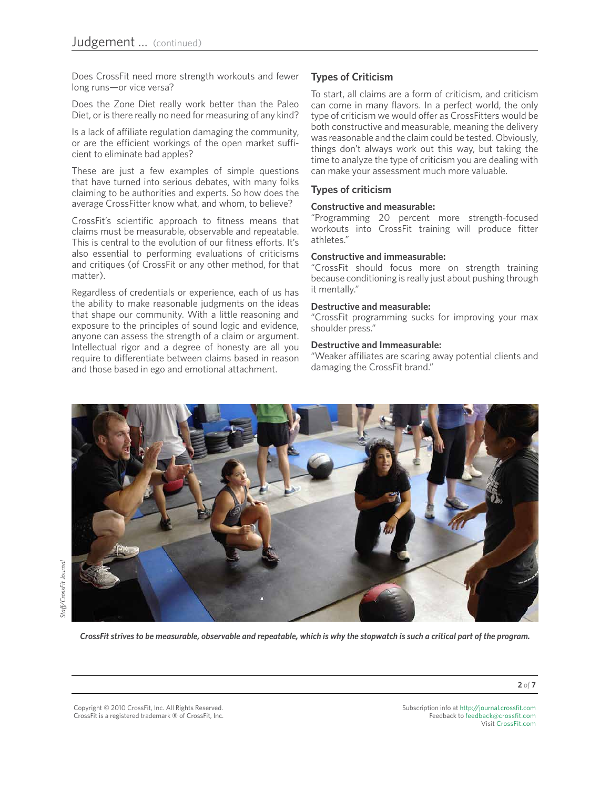Does CrossFit need more strength workouts and fewer long runs—or vice versa?

Does the Zone Diet really work better than the Paleo Diet, or is there really no need for measuring of any kind?

Is a lack of affiliate regulation damaging the community, or are the efficient workings of the open market sufficient to eliminate bad apples?

These are just a few examples of simple questions that have turned into serious debates, with many folks claiming to be authorities and experts. So how does the average CrossFitter know what, and whom, to believe?

CrossFit's scientific approach to fitness means that claims must be measurable, observable and repeatable. This is central to the evolution of our fitness efforts. It's also essential to performing evaluations of criticisms and critiques (of CrossFit or any other method, for that matter).

Regardless of credentials or experience, each of us has the ability to make reasonable judgments on the ideas that shape our community. With a little reasoning and exposure to the principles of sound logic and evidence, anyone can assess the strength of a claim or argument. Intellectual rigor and a degree of honesty are all you require to differentiate between claims based in reason and those based in ego and emotional attachment.

#### **Types of Criticism**

To start, all claims are a form of criticism, and criticism can come in many flavors. In a perfect world, the only type of criticism we would offer as CrossFitters would be both constructive and measurable, meaning the delivery was reasonable and the claim could be tested. Obviously, things don't always work out this way, but taking the time to analyze the type of criticism you are dealing with can make your assessment much more valuable.

#### **Types of criticism**

#### **Constructive and measurable:**

"Programming 20 percent more strength-focused workouts into CrossFit training will produce fitter athletes."

#### **Constructive and immeasurable:**

"CrossFit should focus more on strength training because conditioning is really just about pushing through it mentally."

#### **Destructive and measurable:**

"CrossFit programming sucks for improving your max shoulder press."

#### **Destructive and Immeasurable:**

"Weaker affiliates are scaring away potential clients and damaging the CrossFit brand."



*CrossFit strives to be measurable, observable and repeatable, which is why the stopwatch is such a critical part of the program.*

Copyright © 2010 CrossFit, Inc. All Rights Reserved. CrossFit is a registered trademark ‰ of CrossFit, Inc. Subscription info at <http://journal.crossfit.com> Feedback to [feedback@crossfit.com](mailto:feedback@crossfit.com) Visit [CrossFit.com](http://www.westside-barbell.com/)

**2** *of* **7**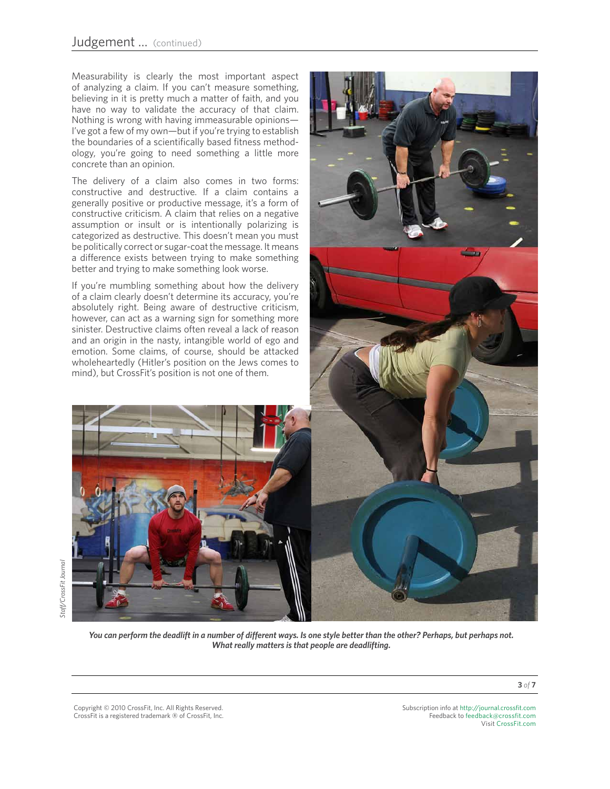Measurability is clearly the most important aspect of analyzing a claim. If you can't measure something, believing in it is pretty much a matter of faith, and you have no way to validate the accuracy of that claim. Nothing is wrong with having immeasurable opinions— I've got a few of my own—but if you're trying to establish the boundaries of a scientifically based fitness methodology, you're going to need something a little more concrete than an opinion.

The delivery of a claim also comes in two forms: constructive and destructive. If a claim contains a generally positive or productive message, it's a form of constructive criticism. A claim that relies on a negative assumption or insult or is intentionally polarizing is categorized as destructive. This doesn't mean you must be politically correct or sugar-coat the message. It means a difference exists between trying to make something better and trying to make something look worse.

If you're mumbling something about how the delivery of a claim clearly doesn't determine its accuracy, you're absolutely right. Being aware of destructive criticism, however, can act as a warning sign for something more sinister. Destructive claims often reveal a lack of reason and an origin in the nasty, intangible world of ego and emotion. Some claims, of course, should be attacked wholeheartedly (Hitler's position on the Jews comes to mind), but CrossFit's position is not one of them.





*You can perform the deadlift in a number of different ways. Is one style better than the other? Perhaps, but perhaps not. What really matters is that people are deadlifting.*

Copyright © 2010 CrossFit, Inc. All Rights Reserved. CrossFit is a registered trademark ‰ of CrossFit, Inc.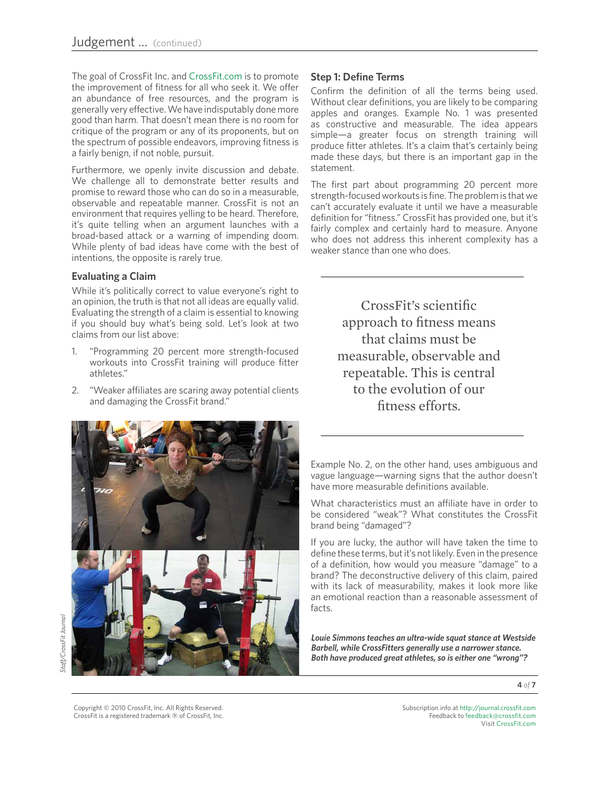The goal of CrossFit Inc. and [CrossFit.com](http://www.crossfit.com) is to promote the improvement of fitness for all who seek it. We offer an abundance of free resources, and the program is generally very effective. We have indisputably done more good than harm. That doesn't mean there is no room for critique of the program or any of its proponents, but on the spectrum of possible endeavors, improving fitness is a fairly benign, if not noble, pursuit.

Furthermore, we openly invite discussion and debate. We challenge all to demonstrate better results and promise to reward those who can do so in a measurable, observable and repeatable manner. CrossFit is not an environment that requires yelling to be heard. Therefore, it's quite telling when an argument launches with a broad-based attack or a warning of impending doom. While plenty of bad ideas have come with the best of intentions, the opposite is rarely true.

#### **Evaluating a Claim**

While it's politically correct to value everyone's right to an opinion, the truth is that not all ideas are equally valid. Evaluating the strength of a claim is essential to knowing if you should buy what's being sold. Let's look at two claims from our list above:

- 1. "Programming 20 percent more strength-focused workouts into CrossFit training will produce fitter athletes."
- 2. "Weaker affiliates are scaring away potential clients and damaging the CrossFit brand."



## itaff/CrossFit Journal *Staff/CrossFit Journal*

#### **Step 1: Define Terms**

Confirm the definition of all the terms being used. Without clear definitions, you are likely to be comparing apples and oranges. Example No. 1 was presented as constructive and measurable. The idea appears simple—a greater focus on strength training will produce fitter athletes. It's a claim that's certainly being made these days, but there is an important gap in the statement.

The first part about programming 20 percent more strength-focused workouts is fine. The problem is that we can't accurately evaluate it until we have a measurable definition for "fitness." CrossFit has provided one, but it's fairly complex and certainly hard to measure. Anyone who does not address this inherent complexity has a weaker stance than one who does.

> CrossFit's scientific approach to fitness means that claims must be measurable, observable and repeatable. This is central to the evolution of our fitness efforts.

Example No. 2, on the other hand, uses ambiguous and vague language—warning signs that the author doesn't have more measurable definitions available.

What characteristics must an affiliate have in order to be considered "weak"? What constitutes the CrossFit brand being "damaged"?

If you are lucky, the author will have taken the time to define these terms, but it's not likely. Even in the presence of a definition, how would you measure "damage" to a brand? The deconstructive delivery of this claim, paired with its lack of measurability, makes it look more like an emotional reaction than a reasonable assessment of facts.

*Louie Simmons teaches an ultra-wide squat stance at Westside Barbell, while CrossFitters generally use a narrower stance. Both have produced great athletes, so is either one "wrong"?* 

**4** *of* **7**

Copyright © 2010 CrossFit, Inc. All Rights Reserved. CrossFit is a registered trademark ‰ of CrossFit, Inc.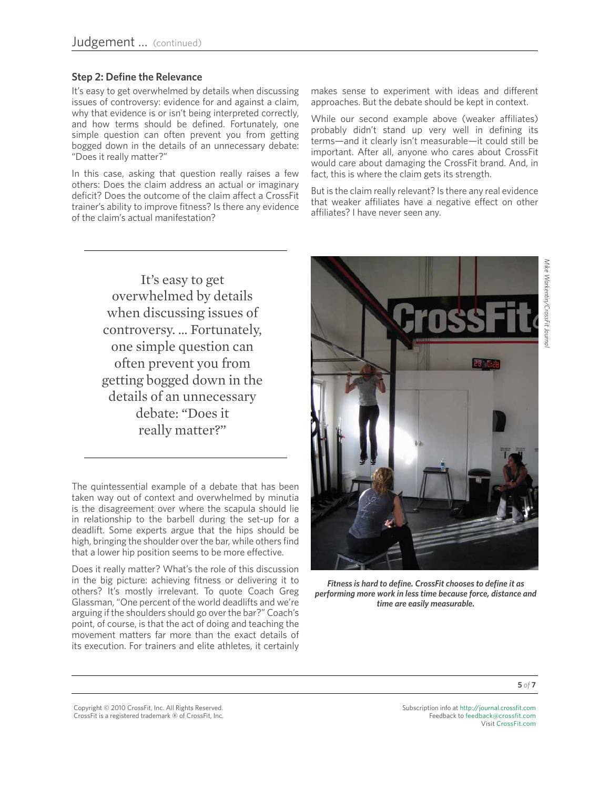#### **Step 2: Define the Relevance**

It's easy to get overwhelmed by details when discussing issues of controversy: evidence for and against a claim, why that evidence is or isn't being interpreted correctly, and how terms should be defined. Fortunately, one simple question can often prevent you from getting bogged down in the details of an unnecessary debate: "Does it really matter?"

In this case, asking that question really raises a few others: Does the claim address an actual or imaginary deficit? Does the outcome of the claim affect a CrossFit trainer's ability to improve fitness? Is there any evidence of the claim's actual manifestation?

makes sense to experiment with ideas and different approaches. But the debate should be kept in context.

While our second example above (weaker affiliates) probably didn't stand up very well in defining its terms—and it clearly isn't measurable—it could still be important. After all, anyone who cares about CrossFit would care about damaging the CrossFit brand. And, in fact, this is where the claim gets its strength.

But is the claim really relevant? Is there any real evidence that weaker affiliates have a negative effect on other affiliates? I have never seen any.

It's easy to get overwhelmed by details when discussing issues of controversy. … Fortunately, one simple question can often prevent you from getting bogged down in the details of an unnecessary debate: "Does it really matter?"

The quintessential example of a debate that has been taken way out of context and overwhelmed by minutia is the disagreement over where the scapula should lie in relationship to the barbell during the set-up for a deadlift. Some experts argue that the hips should be high, bringing the shoulder over the bar, while others find that a lower hip position seems to be more effective.

Does it really matter? What's the role of this discussion in the big picture: achieving fitness or delivering it to others? It's mostly irrelevant. To quote Coach Greg Glassman, "One percent of the world deadlifts and we're arguing if the shoulders should go over the bar?" Coach's point, of course, is that the act of doing and teaching the movement matters far more than the exact details of its execution. For trainers and elite athletes, it certainly



*Fitness is hard to define. CrossFit chooses to define it as performing more work in less time because force, distance and time are easily measurable.* 

Copyright © 2010 CrossFit, Inc. All Rights Reserved. CrossFit is a registered trademark ‰ of CrossFit, Inc.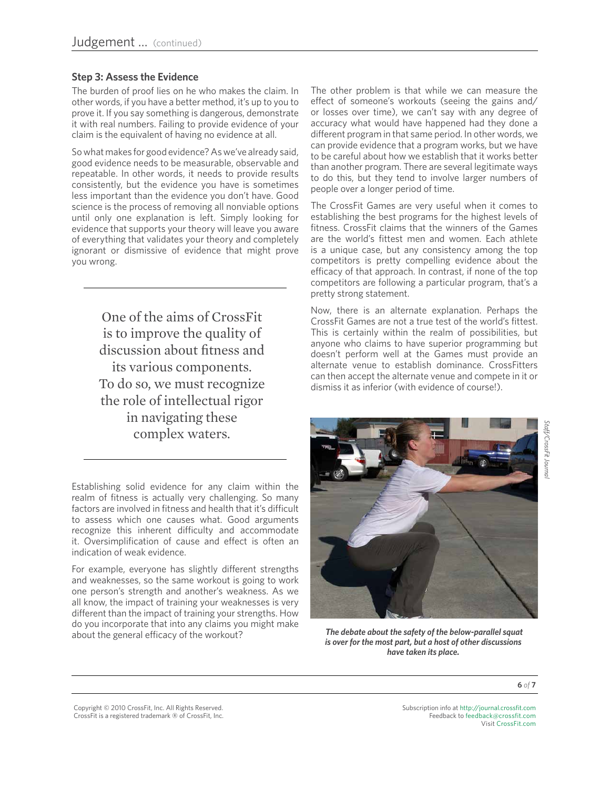#### **Step 3: Assess the Evidence**

The burden of proof lies on he who makes the claim. In other words, if you have a better method, it's up to you to prove it. If you say something is dangerous, demonstrate it with real numbers. Failing to provide evidence of your claim is the equivalent of having no evidence at all.

So what makes for good evidence? As we've already said, good evidence needs to be measurable, observable and repeatable. In other words, it needs to provide results consistently, but the evidence you have is sometimes less important than the evidence you don't have. Good science is the process of removing all nonviable options until only one explanation is left. Simply looking for evidence that supports your theory will leave you aware of everything that validates your theory and completely ignorant or dismissive of evidence that might prove you wrong.

> One of the aims of CrossFit is to improve the quality of discussion about fitness and its various components. To do so, we must recognize the role of intellectual rigor in navigating these complex waters.

Establishing solid evidence for any claim within the realm of fitness is actually very challenging. So many factors are involved in fitness and health that it's difficult to assess which one causes what. Good arguments recognize this inherent difficulty and accommodate it. Oversimplification of cause and effect is often an indication of weak evidence.

For example, everyone has slightly different strengths and weaknesses, so the same workout is going to work one person's strength and another's weakness. As we all know, the impact of training your weaknesses is very different than the impact of training your strengths. How do you incorporate that into any claims you might make about the general efficacy of the workout?

The other problem is that while we can measure the effect of someone's workouts (seeing the gains and/ or losses over time), we can't say with any degree of accuracy what would have happened had they done a different program in that same period. In other words, we can provide evidence that a program works, but we have to be careful about how we establish that it works better than another program. There are several legitimate ways to do this, but they tend to involve larger numbers of people over a longer period of time.

The CrossFit Games are very useful when it comes to establishing the best programs for the highest levels of fitness. CrossFit claims that the winners of the Games are the world's fittest men and women. Each athlete is a unique case, but any consistency among the top competitors is pretty compelling evidence about the efficacy of that approach. In contrast, if none of the top competitors are following a particular program, that's a pretty strong statement.

Now, there is an alternate explanation. Perhaps the CrossFit Games are not a true test of the world's fittest. This is certainly within the realm of possibilities, but anyone who claims to have superior programming but doesn't perform well at the Games must provide an alternate venue to establish dominance. CrossFitters can then accept the alternate venue and compete in it or dismiss it as inferior (with evidence of course!).



 *The debate about the safety of the below-parallel squat is over for the most part, but a host of other discussions have taken its place.*

**6** *of* **7**

Copyright © 2010 CrossFit, Inc. All Rights Reserved. CrossFit is a registered trademark ‰ of CrossFit, Inc.